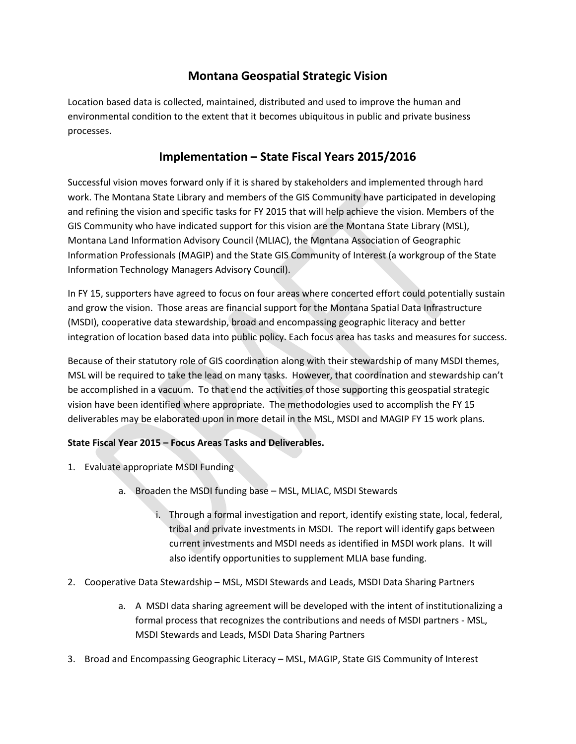## **Montana Geospatial Strategic Vision**

Location based data is collected, maintained, distributed and used to improve the human and environmental condition to the extent that it becomes ubiquitous in public and private business processes.

## **Implementation – State Fiscal Years 2015/2016**

Successful vision moves forward only if it is shared by stakeholders and implemented through hard work. The Montana State Library and members of the GIS Community have participated in developing and refining the vision and specific tasks for FY 2015 that will help achieve the vision. Members of the GIS Community who have indicated support for this vision are the Montana State Library (MSL), Montana Land Information Advisory Council (MLIAC), the Montana Association of Geographic Information Professionals (MAGIP) and the State GIS Community of Interest (a workgroup of the State Information Technology Managers Advisory Council).

In FY 15, supporters have agreed to focus on four areas where concerted effort could potentially sustain and grow the vision. Those areas are financial support for the Montana Spatial Data Infrastructure (MSDI), cooperative data stewardship, broad and encompassing geographic literacy and better integration of location based data into public policy. Each focus area has tasks and measures for success.

Because of their statutory role of GIS coordination along with their stewardship of many MSDI themes, MSL will be required to take the lead on many tasks. However, that coordination and stewardship can't be accomplished in a vacuum. To that end the activities of those supporting this geospatial strategic vision have been identified where appropriate. The methodologies used to accomplish the FY 15 deliverables may be elaborated upon in more detail in the MSL, MSDI and MAGIP FY 15 work plans.

## **State Fiscal Year 2015 – Focus Areas Tasks and Deliverables.**

- 1. Evaluate appropriate MSDI Funding
	- a. Broaden the MSDI funding base MSL, MLIAC, MSDI Stewards
		- i. Through a formal investigation and report, identify existing state, local, federal, tribal and private investments in MSDI. The report will identify gaps between current investments and MSDI needs as identified in MSDI work plans. It will also identify opportunities to supplement MLIA base funding.
- 2. Cooperative Data Stewardship MSL, MSDI Stewards and Leads, MSDI Data Sharing Partners
	- a. A MSDI data sharing agreement will be developed with the intent of institutionalizing a formal process that recognizes the contributions and needs of MSDI partners - MSL, MSDI Stewards and Leads, MSDI Data Sharing Partners
- 3. Broad and Encompassing Geographic Literacy MSL, MAGIP, State GIS Community of Interest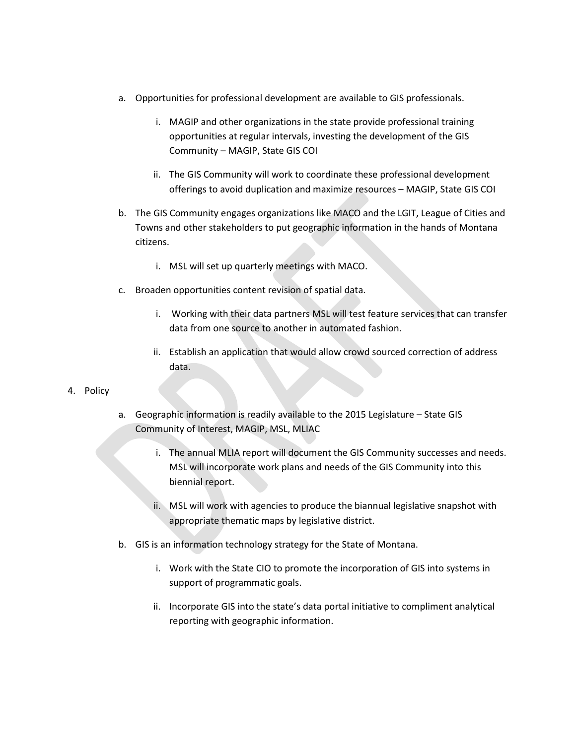- a. Opportunities for professional development are available to GIS professionals.
	- i. MAGIP and other organizations in the state provide professional training opportunities at regular intervals, investing the development of the GIS Community – MAGIP, State GIS COI
	- ii. The GIS Community will work to coordinate these professional development offerings to avoid duplication and maximize resources – MAGIP, State GIS COI
- b. The GIS Community engages organizations like MACO and the LGIT, League of Cities and Towns and other stakeholders to put geographic information in the hands of Montana citizens.
	- i. MSL will set up quarterly meetings with MACO.
- c. Broaden opportunities content revision of spatial data.
	- i. Working with their data partners MSL will test feature services that can transfer data from one source to another in automated fashion.
	- ii. Establish an application that would allow crowd sourced correction of address data.

## 4. Policy

- a. Geographic information is readily available to the 2015 Legislature State GIS Community of Interest, MAGIP, MSL, MLIAC
	- i. The annual MLIA report will document the GIS Community successes and needs. MSL will incorporate work plans and needs of the GIS Community into this biennial report.
	- ii. MSL will work with agencies to produce the biannual legislative snapshot with appropriate thematic maps by legislative district.
- b. GIS is an information technology strategy for the State of Montana.
	- i. Work with the State CIO to promote the incorporation of GIS into systems in support of programmatic goals.
	- ii. Incorporate GIS into the state's data portal initiative to compliment analytical reporting with geographic information.